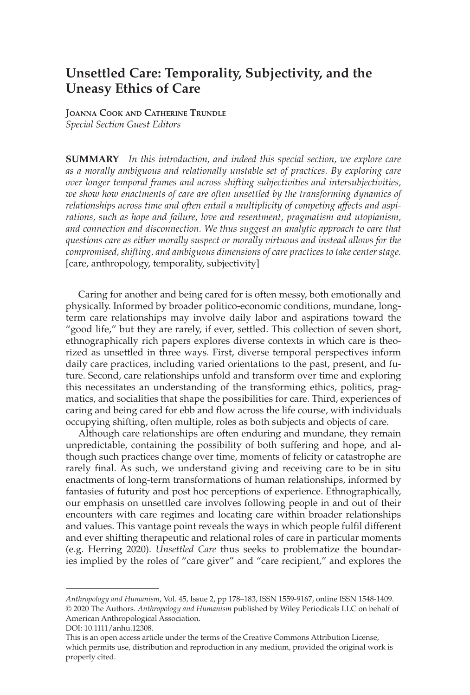# **Unsettled Care: Temporality, Subjectivity, and the Uneasy Ethics of Care**

**Joanna Cook and Catherine Trundle** *Special Section Guest Editors*

**SUMMARY** *In this introduction, and indeed this special section, we explore care as a morally ambiguous and relationally unstable set of practices. By exploring care over longer temporal frames and across shifting subjectivities and intersubjectivities, we show how enactments of care are often unsettled by the transforming dynamics of relationships across time and often entail a multiplicity of competing affects and aspirations, such as hope and failure, love and resentment, pragmatism and utopianism, and connection and disconnection. We thus suggest an analytic approach to care that questions care as either morally suspect or morally virtuous and instead allows for the compromised, shifting, and ambiguous dimensions of care practices to take center stage.*  [care, anthropology, temporality, subjectivity]

Caring for another and being cared for is often messy, both emotionally and physically. Informed by broader politico-economic conditions, mundane, longterm care relationships may involve daily labor and aspirations toward the "good life," but they are rarely, if ever, settled. This collection of seven short, ethnographically rich papers explores diverse contexts in which care is theorized as unsettled in three ways. First, diverse temporal perspectives inform daily care practices, including varied orientations to the past, present, and future. Second, care relationships unfold and transform over time and exploring this necessitates an understanding of the transforming ethics, politics, pragmatics, and socialities that shape the possibilities for care. Third, experiences of caring and being cared for ebb and flow across the life course, with individuals occupying shifting, often multiple, roles as both subjects and objects of care.

Although care relationships are often enduring and mundane, they remain unpredictable, containing the possibility of both suffering and hope, and although such practices change over time, moments of felicity or catastrophe are rarely final. As such, we understand giving and receiving care to be in situ enactments of long-term transformations of human relationships, informed by fantasies of futurity and post hoc perceptions of experience. Ethnographically, our emphasis on unsettled care involves following people in and out of their encounters with care regimes and locating care within broader relationships and values. This vantage point reveals the ways in which people fulfil different and ever shifting therapeutic and relational roles of care in particular moments (e.g. Herring 2020). *Unsettled Care* thus seeks to problematize the boundaries implied by the roles of "care giver" and "care recipient," and explores the

*Anthropology and Humanism*, Vol. 45, Issue 2, pp 178–183, ISSN 1559-9167, online ISSN 1548-1409. © 2020 The Authors. *Anthropology and Humanism* published by Wiley Periodicals LLC on behalf of American Anthropological Association.

DOI: 10.1111/anhu.12308.

This is an open access article under the terms of the [Creative Commons Attribution](http://creativecommons.org/licenses/by/4.0/) License, which permits use, distribution and reproduction in any medium, provided the original work is properly cited.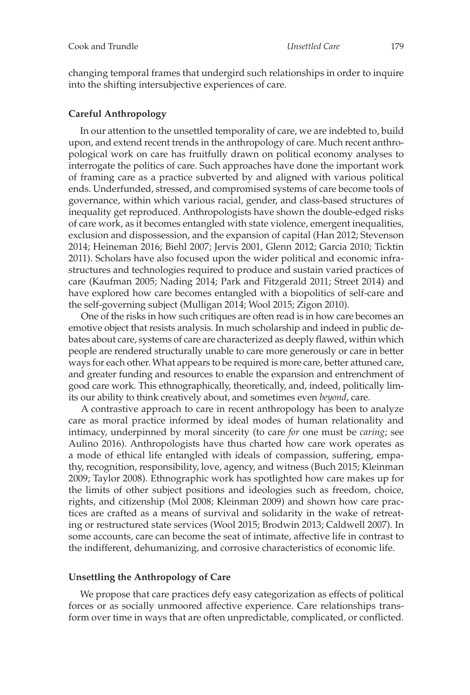changing temporal frames that undergird such relationships in order to inquire into the shifting intersubjective experiences of care.

# **Careful Anthropology**

In our attention to the unsettled temporality of care, we are indebted to, build upon, and extend recent trends in the anthropology of care. Much recent anthropological work on care has fruitfully drawn on political economy analyses to interrogate the politics of care. Such approaches have done the important work of framing care as a practice subverted by and aligned with various political ends. Underfunded, stressed, and compromised systems of care become tools of governance, within which various racial, gender, and class-based structures of inequality get reproduced. Anthropologists have shown the double-edged risks of care work, as it becomes entangled with state violence, emergent inequalities, exclusion and dispossession, and the expansion of capital (Han 2012; Stevenson 2014; Heineman 2016; Biehl 2007; Jervis 2001, Glenn 2012; Garcia 2010; Ticktin 2011). Scholars have also focused upon the wider political and economic infrastructures and technologies required to produce and sustain varied practices of care (Kaufman 2005; Nading 2014; Park and Fitzgerald 2011; Street 2014) and have explored how care becomes entangled with a biopolitics of self-care and the self-governing subject (Mulligan 2014; Wool 2015; Zigon 2010).

One of the risks in how such critiques are often read is in how care becomes an emotive object that resists analysis. In much scholarship and indeed in public debates about care, systems of care are characterized as deeply flawed, within which people are rendered structurally unable to care more generously or care in better ways for each other. What appears to be required is more care, better attuned care, and greater funding and resources to enable the expansion and entrenchment of good care work. This ethnographically, theoretically, and, indeed, politically limits our ability to think creatively about, and sometimes even *beyond*, care.

A contrastive approach to care in recent anthropology has been to analyze care as moral practice informed by ideal modes of human relationality and intimacy, underpinned by moral sincerity (to care *for* one must be *caring*; see Aulino 2016). Anthropologists have thus charted how care work operates as a mode of ethical life entangled with ideals of compassion, suffering, empathy, recognition, responsibility, love, agency, and witness (Buch 2015; Kleinman 2009; Taylor 2008). Ethnographic work has spotlighted how care makes up for the limits of other subject positions and ideologies such as freedom, choice, rights, and citizenship (Mol 2008; Kleinman 2009) and shown how care practices are crafted as a means of survival and solidarity in the wake of retreating or restructured state services (Wool 2015; Brodwin 2013; Caldwell 2007). In some accounts, care can become the seat of intimate, affective life in contrast to the indifferent, dehumanizing, and corrosive characteristics of economic life.

## **Unsettling the Anthropology of Care**

We propose that care practices defy easy categorization as effects of political forces or as socially unmoored affective experience. Care relationships transform over time in ways that are often unpredictable, complicated, or conflicted.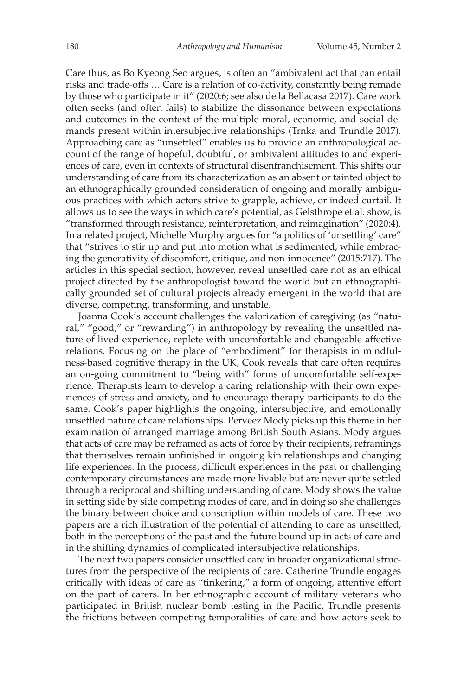Care thus, as Bo Kyeong Seo argues, is often an "ambivalent act that can entail risks and trade-offs … Care is a relation of co-activity, constantly being remade by those who participate in it" (2020:6; see also de la Bellacasa 2017). Care work often seeks (and often fails) to stabilize the dissonance between expectations and outcomes in the context of the multiple moral, economic, and social demands present within intersubjective relationships (Trnka and Trundle 2017). Approaching care as "unsettled" enables us to provide an anthropological account of the range of hopeful, doubtful, or ambivalent attitudes to and experiences of care, even in contexts of structural disenfranchisement. This shifts our understanding of care from its characterization as an absent or tainted object to an ethnographically grounded consideration of ongoing and morally ambiguous practices with which actors strive to grapple, achieve, or indeed curtail. It allows us to see the ways in which care's potential, as Gelsthrope et al. show, is "transformed through resistance, reinterpretation, and reimagination" (2020:4). In a related project, Michelle Murphy argues for "a politics of 'unsettling' care" that "strives to stir up and put into motion what is sedimented, while embracing the generativity of discomfort, critique, and non-innocence" (2015:717). The articles in this special section, however, reveal unsettled care not as an ethical project directed by the anthropologist toward the world but an ethnographically grounded set of cultural projects already emergent in the world that are diverse, competing, transforming, and unstable.

Joanna Cook's account challenges the valorization of caregiving (as "natural," "good," or "rewarding") in anthropology by revealing the unsettled nature of lived experience, replete with uncomfortable and changeable affective relations. Focusing on the place of "embodiment" for therapists in mindfulness-based cognitive therapy in the UK, Cook reveals that care often requires an on-going commitment to "being with" forms of uncomfortable self-experience. Therapists learn to develop a caring relationship with their own experiences of stress and anxiety, and to encourage therapy participants to do the same. Cook's paper highlights the ongoing, intersubjective, and emotionally unsettled nature of care relationships. Perveez Mody picks up this theme in her examination of arranged marriage among British South Asians. Mody argues that acts of care may be reframed as acts of force by their recipients, reframings that themselves remain unfinished in ongoing kin relationships and changing life experiences. In the process, difficult experiences in the past or challenging contemporary circumstances are made more livable but are never quite settled through a reciprocal and shifting understanding of care. Mody shows the value in setting side by side competing modes of care, and in doing so she challenges the binary between choice and conscription within models of care. These two papers are a rich illustration of the potential of attending to care as unsettled, both in the perceptions of the past and the future bound up in acts of care and in the shifting dynamics of complicated intersubjective relationships.

The next two papers consider unsettled care in broader organizational structures from the perspective of the recipients of care. Catherine Trundle engages critically with ideas of care as "tinkering," a form of ongoing, attentive effort on the part of carers. In her ethnographic account of military veterans who participated in British nuclear bomb testing in the Pacific, Trundle presents the frictions between competing temporalities of care and how actors seek to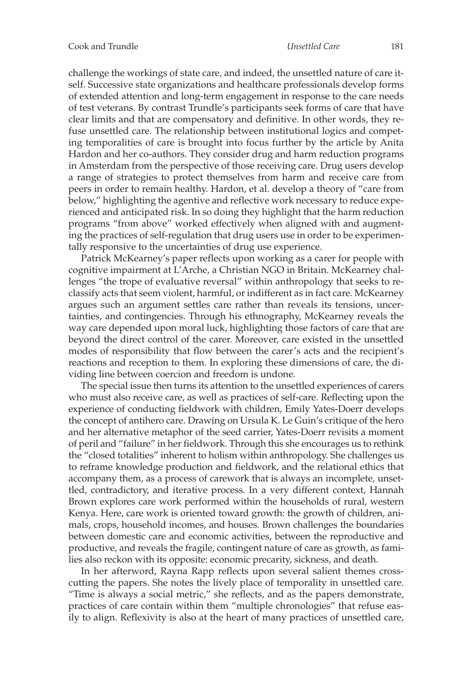challenge the workings of state care, and indeed, the unsettled nature of care itself. Successive state organizations and healthcare professionals develop forms of extended attention and long-term engagement in response to the care needs of test veterans. By contrast Trundle's participants seek forms of care that have clear limits and that are compensatory and definitive. In other words, they refuse unsettled care. The relationship between institutional logics and competing temporalities of care is brought into focus further by the article by Anita Hardon and her co-authors. They consider drug and harm reduction programs in Amsterdam from the perspective of those receiving care. Drug users develop a range of strategies to protect themselves from harm and receive care from peers in order to remain healthy. Hardon, et al. develop a theory of "care from below," highlighting the agentive and reflective work necessary to reduce experienced and anticipated risk. In so doing they highlight that the harm reduction programs "from above" worked effectively when aligned with and augmenting the practices of self-regulation that drug users use in order to be experimentally responsive to the uncertainties of drug use experience.

Patrick McKearney's paper reflects upon working as a carer for people with cognitive impairment at L'Arche, a Christian NGO in Britain. McKearney challenges "the trope of evaluative reversal" within anthropology that seeks to reclassify acts that seem violent, harmful, or indifferent as in fact care. McKearney argues such an argument settles care rather than reveals its tensions, uncertainties, and contingencies. Through his ethnography, McKearney reveals the way care depended upon moral luck, highlighting those factors of care that are beyond the direct control of the carer. Moreover, care existed in the unsettled modes of responsibility that flow between the carer's acts and the recipient's reactions and reception to them. In exploring these dimensions of care, the dividing line between coercion and freedom is undone.

The special issue then turns its attention to the unsettled experiences of carers who must also receive care, as well as practices of self-care. Reflecting upon the experience of conducting fieldwork with children, Emily Yates-Doerr develops the concept of antihero care. Drawing on Ursula K. Le Guin's critique of the hero and her alternative metaphor of the seed carrier, Yates-Doerr revisits a moment of peril and "failure" in her fieldwork. Through this she encourages us to rethink the "closed totalities" inherent to holism within anthropology. She challenges us to reframe knowledge production and fieldwork, and the relational ethics that accompany them, as a process of carework that is always an incomplete, unsettled, contradictory, and iterative process. In a very different context, Hannah Brown explores care work performed within the households of rural, western Kenya. Here, care work is oriented toward growth: the growth of children, animals, crops, household incomes, and houses. Brown challenges the boundaries between domestic care and economic activities, between the reproductive and productive, and reveals the fragile, contingent nature of care as growth, as families also reckon with its opposite: economic precarity, sickness, and death.

In her afterword, Rayna Rapp reflects upon several salient themes crosscutting the papers. She notes the lively place of temporality in unsettled care. "Time is always a social metric," she reflects, and as the papers demonstrate, practices of care contain within them "multiple chronologies" that refuse easily to align. Reflexivity is also at the heart of many practices of unsettled care,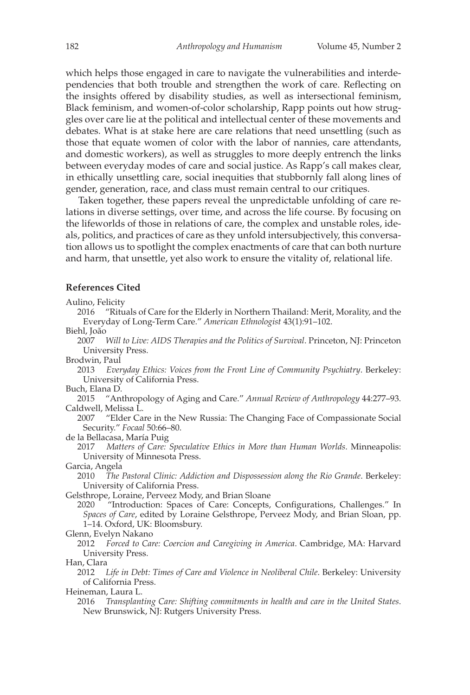which helps those engaged in care to navigate the vulnerabilities and interdependencies that both trouble and strengthen the work of care. Reflecting on the insights offered by disability studies, as well as intersectional feminism, Black feminism, and women-of-color scholarship, Rapp points out how struggles over care lie at the political and intellectual center of these movements and debates. What is at stake here are care relations that need unsettling (such as those that equate women of color with the labor of nannies, care attendants, and domestic workers), as well as struggles to more deeply entrench the links between everyday modes of care and social justice. As Rapp's call makes clear, in ethically unsettling care, social inequities that stubbornly fall along lines of gender, generation, race, and class must remain central to our critiques.

Taken together, these papers reveal the unpredictable unfolding of care relations in diverse settings, over time, and across the life course. By focusing on the lifeworlds of those in relations of care, the complex and unstable roles, ideals, politics, and practices of care as they unfold intersubjectively, this conversation allows us to spotlight the complex enactments of care that can both nurture and harm, that unsettle, yet also work to ensure the vitality of, relational life.

### **References Cited**

Aulino, Felicity

2016 "Rituals of Care for the Elderly in Northern Thailand: Merit, Morality, and the Everyday of Long-Term Care." *American Ethnologist* 43(1):91–102.

Biehl, João

2007 *Will to Live: AIDS Therapies and the Politics of Survival*. Princeton, NJ: Princeton University Press.

Brodwin, Paul

2013 *Everyday Ethics: Voices from the Front Line of Community Psychiatry*. Berkeley: University of California Press.

Buch, Elana D.

2015 "Anthropology of Aging and Care." *Annual Review of Anthropology* 44:277–93. Caldwell, Melissa L.

2007 "Elder Care in the New Russia: The Changing Face of Compassionate Social Security." *Focaal* 50:66–80.

de la Bellacasa, María Puig

2017 *Matters of Care: Speculative Ethics in More than Human Worlds*. Minneapolis: University of Minnesota Press.

Garcia, Angela

2010 *The Pastoral Clinic: Addiction and Dispossession along the Rio Grande*. Berkeley: University of California Press.

Gelsthrope, Loraine, Perveez Mody, and Brian Sloane

2020 "Introduction: Spaces of Care: Concepts, Configurations, Challenges." In *Spaces of Care*, edited by Loraine Gelsthrope, Perveez Mody, and Brian Sloan, pp. 1–14. Oxford, UK: Bloomsbury.

Glenn, Evelyn Nakano

2012 *Forced to Care: Coercion and Caregiving in America*. Cambridge, MA: Harvard University Press.

Han, Clara

2012 *Life in Debt: Times of Care and Violence in Neoliberal Chile*. Berkeley: University of California Press.

Heineman, Laura L.

2016 *Transplanting Care: Shifting commitments in health and care in the United States*. New Brunswick, NJ: Rutgers University Press.